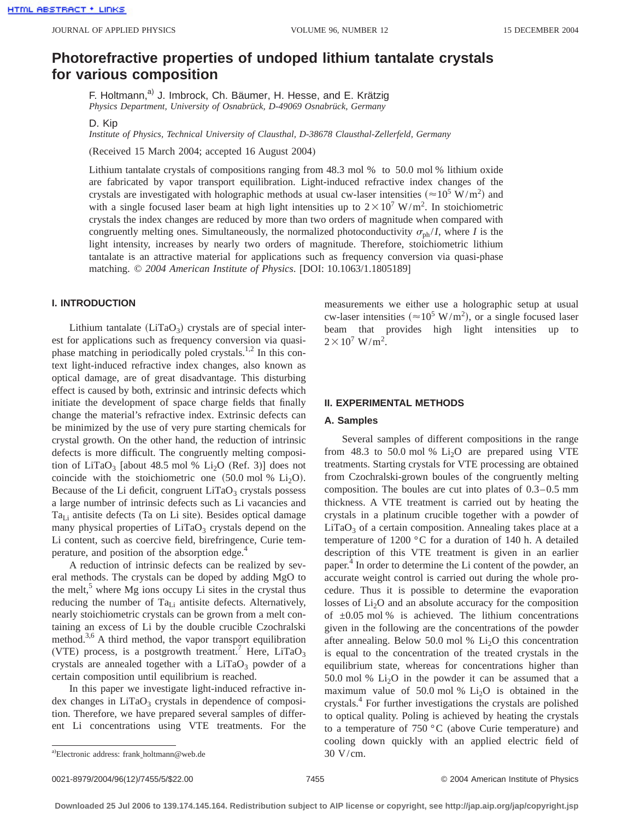# **Photorefractive properties of undoped lithium tantalate crystals for various composition**

F. Holtmann,<sup>a)</sup> J. Imbrock, Ch. Bäumer, H. Hesse, and E. Krätzig *Physics Department, University of Osnabrück, D-49069 Osnabrück, Germany*

D. Kip

*Institute of Physics, Technical University of Clausthal, D-38678 Clausthal-Zellerfeld, Germany*

(Received 15 March 2004; accepted 16 August 2004)

Lithium tantalate crystals of compositions ranging from 48.3 mol % to 50.0 mol % lithium oxide are fabricated by vapor transport equilibration. Light-induced refractive index changes of the crystals are investigated with holographic methods at usual cw-laser intensities ( $\approx 10^5$  W/m<sup>2</sup>) and with a single focused laser beam at high light intensities up to  $2 \times 10^7$  W/m<sup>2</sup>. In stoichiometric crystals the index changes are reduced by more than two orders of magnitude when compared with congruently melting ones. Simultaneously, the normalized photoconductivity  $\sigma_{ph}/I$ , where *I* is the light intensity, increases by nearly two orders of magnitude. Therefore, stoichiometric lithium tantalate is an attractive material for applications such as frequency conversion via quasi-phase matching. © *2004 American Institute of Physics*. [DOI: 10.1063/1.1805189]

# **I. INTRODUCTION**

Lithium tantalate  $(LiTaO<sub>3</sub>)$  crystals are of special interest for applications such as frequency conversion via quasiphase matching in periodically poled crystals.<sup>1,2</sup> In this context light-induced refractive index changes, also known as optical damage, are of great disadvantage. This disturbing effect is caused by both, extrinsic and intrinsic defects which initiate the development of space charge fields that finally change the material's refractive index. Extrinsic defects can be minimized by the use of very pure starting chemicals for crystal growth. On the other hand, the reduction of intrinsic defects is more difficult. The congruently melting composition of LiTaO<sub>3</sub> [about 48.5 mol % Li<sub>2</sub>O (Ref. 3)] does not coincide with the stoichiometric one  $(50.0 \text{ mol } \% \text{ Li}_2\text{O})$ . Because of the Li deficit, congruent  $LiTaO<sub>3</sub>$  crystals possess a large number of intrinsic defects such as Li vacancies and  $Ta_{Li}$  antisite defects (Ta on Li site). Besides optical damage many physical properties of LiTaO<sub>3</sub> crystals depend on the Li content, such as coercive field, birefringence, Curie temperature, and position of the absorption edge.<sup>4</sup>

A reduction of intrinsic defects can be realized by several methods. The crystals can be doped by adding MgO to the melt, $5$  where Mg ions occupy Li sites in the crystal thus reducing the number of  $Ta_{Li}$  antisite defects. Alternatively, nearly stoichiometric crystals can be grown from a melt containing an excess of Li by the double crucible Czochralski method.<sup>3,6</sup> A third method, the vapor transport equilibration (VTE) process, is a postgrowth treatment.<sup>7</sup> Here, LiTaO<sub>3</sub> crystals are annealed together with a  $LiTaO<sub>3</sub>$  powder of a certain composition until equilibrium is reached.

In this paper we investigate light-induced refractive index changes in  $LiTaO<sub>3</sub>$  crystals in dependence of composition. Therefore, we have prepared several samples of different Li concentrations using VTE treatments. For the measurements we either use a holographic setup at usual cw-laser intensities ( $\approx 10^5$  W/m<sup>2</sup>), or a single focused laser beam that provides high light intensities up to  $2 \times 10^7$  W/m<sup>2</sup>.

# **II. EXPERIMENTAL METHODS**

# **A. Samples**

Several samples of different compositions in the range from 48.3 to 50.0 mol %  $Li<sub>2</sub>O$  are prepared using VTE treatments. Starting crystals for VTE processing are obtained from Czochralski-grown boules of the congruently melting composition. The boules are cut into plates of 0.3–0.5 mm thickness. A VTE treatment is carried out by heating the crystals in a platinum crucible together with a powder of  $LiTaO<sub>3</sub>$  of a certain composition. Annealing takes place at a temperature of 1200 °C for a duration of 140 h. A detailed description of this VTE treatment is given in an earlier paper.<sup>4</sup> In order to determine the Li content of the powder, an accurate weight control is carried out during the whole procedure. Thus it is possible to determine the evaporation losses of  $Li<sub>2</sub>O$  and an absolute accuracy for the composition of  $\pm 0.05$  mol% is achieved. The lithium concentrations given in the following are the concentrations of the powder after annealing. Below 50.0 mol %  $Li<sub>2</sub>O$  this concentration is equal to the concentration of the treated crystals in the equilibrium state, whereas for concentrations higher than 50.0 mol %  $Li<sub>2</sub>O$  in the powder it can be assumed that a maximum value of 50.0 mol %  $Li<sub>2</sub>O$  is obtained in the crystals.4 For further investigations the crystals are polished to optical quality. Poling is achieved by heating the crystals to a temperature of 750 °C (above Curie temperature) and cooling down quickly with an applied electric field of

a)Electronic address: frank\_holtmann@web.de  $30 \text{ V/cm}$ .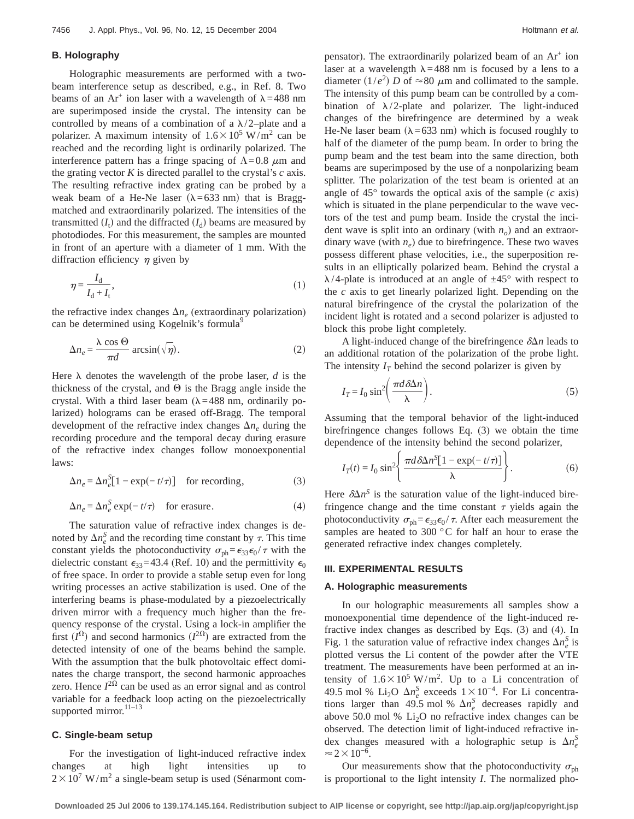#### **B. Holography**

Holographic measurements are performed with a twobeam interference setup as described, e.g., in Ref. 8. Two beams of an Ar<sup>+</sup> ion laser with a wavelength of  $\lambda$ =488 nm are superimposed inside the crystal. The intensity can be controlled by means of a combination of a  $\lambda/2$ –plate and a polarizer. A maximum intensity of  $1.6 \times 10^5$  W/m<sup>2</sup> can be reached and the recording light is ordinarily polarized. The interference pattern has a fringe spacing of  $\Lambda$ =0.8  $\mu$ m and the grating vector *K* is directed parallel to the crystal's *c* axis. The resulting refractive index grating can be probed by a weak beam of a He-Ne laser ( $\lambda$ =633 nm) that is Braggmatched and extraordinarily polarized. The intensities of the transmitted  $(I_t)$  and the diffracted  $(I_d)$  beams are measured by photodiodes. For this measurement, the samples are mounted in front of an aperture with a diameter of 1 mm. With the diffraction efficiency  $\eta$  given by

$$
\eta = \frac{I_d}{I_d + I_t},\tag{1}
$$

the refractive index changes  $\Delta n_e$  (extraordinary polarization) can be determined using Kogelnik's formula<sup>9</sup>

$$
\Delta n_e = \frac{\lambda \cos \Theta}{\pi d} \arcsin(\sqrt{\eta}).
$$
 (2)

Here  $\lambda$  denotes the wavelength of the probe laser, *d* is the thickness of the crystal, and  $\Theta$  is the Bragg angle inside the crystal. With a third laser beam  $(\lambda=488 \text{ nm})$ , ordinarily polarized) holograms can be erased off-Bragg. The temporal development of the refractive index changes  $\Delta n_e$  during the recording procedure and the temporal decay during erasure of the refractive index changes follow monoexponential laws:

$$
\Delta n_e = \Delta n_e^S [1 - \exp(-t/\tau)] \quad \text{for recording,} \tag{3}
$$

$$
\Delta n_e = \Delta n_e^S \exp(-t/\tau) \quad \text{for erasure.} \tag{4}
$$

The saturation value of refractive index changes is denoted by  $\Delta n_e^S$  and the recording time constant by  $\tau$ . This time constant yields the photoconductivity  $\sigma_{ph} = \epsilon_{33} \epsilon_0 / \tau$  with the dielectric constant  $\epsilon_{33}$ =43.4 (Ref. 10) and the permittivity  $\epsilon_0$ of free space. In order to provide a stable setup even for long writing processes an active stabilization is used. One of the interfering beams is phase-modulated by a piezoelectrically driven mirror with a frequency much higher than the frequency response of the crystal. Using a lock-in amplifier the first  $(I^{\Omega})$  and second harmonics  $(I^{2\Omega})$  are extracted from the detected intensity of one of the beams behind the sample. With the assumption that the bulk photovoltaic effect dominates the charge transport, the second harmonic approaches zero. Hence  $I^{2\Omega}$  can be used as an error signal and as control variable for a feedback loop acting on the piezoelectrically supported mirror.<sup>11-13</sup>

## **C. Single-beam setup**

For the investigation of light-induced refractive index changes at high light intensities up to  $2 \times 10^7$  W/m<sup>2</sup> a single-beam setup is used (Sénarmont compensator). The extraordinarily polarized beam of an  $Ar^+$  ion laser at a wavelength  $\lambda$ =488 nm is focused by a lens to a diameter  $(1/e^2)$  *D* of  $\approx 80 \mu$ m and collimated to the sample. The intensity of this pump beam can be controlled by a combination of  $\lambda/2$ -plate and polarizer. The light-induced changes of the birefringence are determined by a weak He-Ne laser beam ( $\lambda$ =633 nm) which is focused roughly to half of the diameter of the pump beam. In order to bring the pump beam and the test beam into the same direction, both beams are superimposed by the use of a nonpolarizing beam splitter. The polarization of the test beam is oriented at an angle of 45° towards the optical axis of the sample (*c* axis) which is situated in the plane perpendicular to the wave vectors of the test and pump beam. Inside the crystal the incident wave is split into an ordinary (with  $n<sub>o</sub>$ ) and an extraordinary wave (with  $n_e$ ) due to birefringence. These two waves possess different phase velocities, i.e., the superposition results in an elliptically polarized beam. Behind the crystal a  $\lambda$ /4-plate is introduced at an angle of  $\pm 45^{\circ}$  with respect to the *c* axis to get linearly polarized light. Depending on the natural birefringence of the crystal the polarization of the incident light is rotated and a second polarizer is adjusted to block this probe light completely.

A light-induced change of the birefringence  $\delta \Delta n$  leads to an additional rotation of the polarization of the probe light. The intensity  $I_T$  behind the second polarizer is given by

$$
I_T = I_0 \sin^2 \left( \frac{\pi d \delta \Delta n}{\lambda} \right). \tag{5}
$$

Assuming that the temporal behavior of the light-induced birefringence changes follows Eq. (3) we obtain the time dependence of the intensity behind the second polarizer,

$$
I_T(t) = I_0 \sin^2 \left\{ \frac{\pi d \delta \Delta n^S [1 - \exp(-t/\tau)]}{\lambda} \right\}.
$$
 (6)

Here  $\delta \Delta n^S$  is the saturation value of the light-induced birefringence change and the time constant  $\tau$  yields again the photoconductivity  $\sigma_{ph} = \epsilon_{33} \epsilon_0 / \tau$ . After each measurement the samples are heated to 300 °C for half an hour to erase the generated refractive index changes completely.

## **III. EXPERIMENTAL RESULTS**

#### **A. Holographic measurements**

In our holographic measurements all samples show a monoexponential time dependence of the light-induced refractive index changes as described by Eqs. (3) and (4). In Fig. 1 the saturation value of refractive index changes  $\Delta n_e^S$  is plotted versus the Li content of the powder after the VTE treatment. The measurements have been performed at an intensity of  $1.6 \times 10^5$  W/m<sup>2</sup>. Up to a Li concentration of 49.5 mol % Li<sub>2</sub>O Δ*n*<sub>e</sub><sup>5</sup> exceeds 1 × 10<sup>-4</sup>. For Li concentrations larger than 49.5 mol %  $\Delta n_e^S$  decreases rapidly and above 50.0 mol %  $Li<sub>2</sub>O$  no refractive index changes can be observed. The detection limit of light-induced refractive index changes measured with a holographic setup is  $\Delta n_e^S$  $\approx$ 2 $\times$ 10<sup>-6</sup>.

Our measurements show that the photoconductivity  $\sigma_{\text{ph}}$ is proportional to the light intensity *I*. The normalized pho-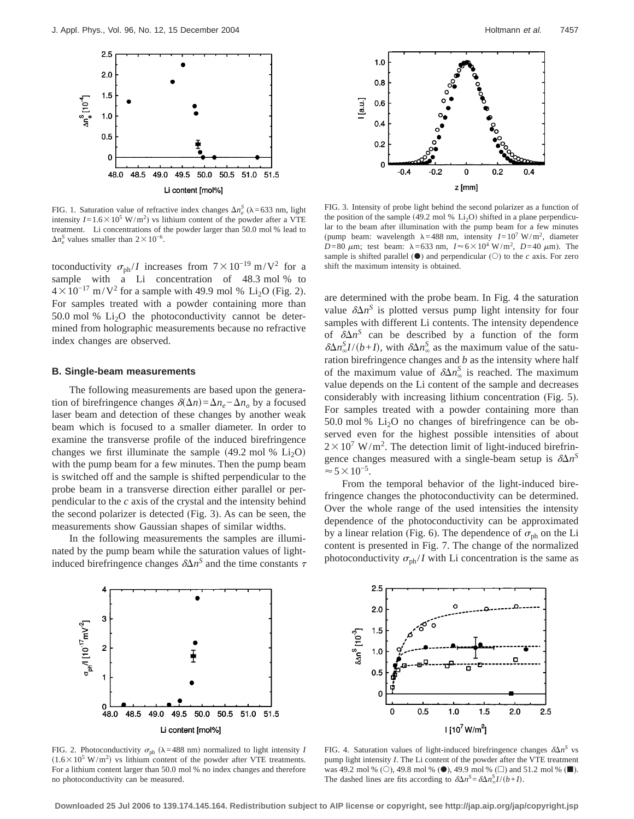

FIG. 1. Saturation value of refractive index changes  $\Delta n_e^S$  ( $\lambda$ =633 nm, light intensity  $I = 1.6 \times 10^5$  W/m<sup>2</sup>) vs lithium content of the powder after a VTE treatment. Li concentrations of the powder larger than 50.0 mol % lead to  $\Delta n_e^S$  values smaller than  $2 \times 10^{-6}$ .

toconductivity  $\sigma_{ph} / I$  increases from  $7 \times 10^{-19}$  m/V<sup>2</sup> for a sample with a Li concentration of 48.3 mol % to  $4 \times 10^{-17}$  m/V<sup>2</sup> for a sample with 49.9 mol % Li<sub>2</sub>O (Fig. 2). For samples treated with a powder containing more than 50.0 mol %  $Li<sub>2</sub>O$  the photoconductivity cannot be determined from holographic measurements because no refractive index changes are observed.

# **B. Single-beam measurements**

The following measurements are based upon the generation of birefringence changes  $\delta(\Delta n) = \Delta n_e - \Delta n_o$  by a focused laser beam and detection of these changes by another weak beam which is focused to a smaller diameter. In order to examine the transverse profile of the induced birefringence changes we first illuminate the sample  $(49.2 \text{ mol } \% \text{ Li}_2\text{O})$ with the pump beam for a few minutes. Then the pump beam is switched off and the sample is shifted perpendicular to the probe beam in a transverse direction either parallel or perpendicular to the *c* axis of the crystal and the intensity behind the second polarizer is detected (Fig. 3). As can be seen, the measurements show Gaussian shapes of similar widths.

In the following measurements the samples are illuminated by the pump beam while the saturation values of lightinduced birefringence changes  $\delta \Delta n^S$  and the time constants  $\tau$ 





FIG. 3. Intensity of probe light behind the second polarizer as a function of the position of the sample (49.2 mol %  $Li<sub>2</sub>O$ ) shifted in a plane perpendicular to the beam after illumination with the pump beam for a few minutes (pump beam: wavelength  $\lambda = 488$  nm, intensity  $I = 10^7$  W/m<sup>2</sup>, diameter  $D=80 \mu m$ ; test beam:  $\lambda = 633 \text{ nm}$ ,  $I \approx 6 \times 10^4 \text{ W/m}^2$ ,  $D=40 \mu \text{m}$ ). The sample is shifted parallel  $(\bullet)$  and perpendicular  $(\circ)$  to the *c* axis. For zero shift the maximum intensity is obtained.

are determined with the probe beam. In Fig. 4 the saturation value  $\delta \Delta n^S$  is plotted versus pump light intensity for four samples with different Li contents. The intensity dependence of  $\delta \Delta n^S$  can be described by a function of the form  $\delta \Delta n_{\infty}^{S} I/(b+I)$ , with  $\delta \Delta n_{\infty}^{S}$  as the maximum value of the saturation birefringence changes and *b* as the intensity where half of the maximum value of  $\delta \Delta n_{\infty}^{S}$  is reached. The maximum value depends on the Li content of the sample and decreases considerably with increasing lithium concentration (Fig. 5). For samples treated with a powder containing more than 50.0 mol %  $Li<sub>2</sub>O$  no changes of birefringence can be observed even for the highest possible intensities of about  $2 \times 10^7$  W/m<sup>2</sup>. The detection limit of light-induced birefringence changes measured with a single-beam setup is  $\delta \Delta n^S$  $\approx$  5  $\times$  10<sup>-5</sup>.

From the temporal behavior of the light-induced birefringence changes the photoconductivity can be determined. Over the whole range of the used intensities the intensity dependence of the photoconductivity can be approximated by a linear relation (Fig. 6). The dependence of  $\sigma_{ph}$  on the Li content is presented in Fig. 7. The change of the normalized photoconductivity  $\sigma_{ph}/I$  with Li concentration is the same as



FIG. 2. Photoconductivity  $\sigma_{ph}$  ( $\lambda$ =488 nm) normalized to light intensity *I*  $(1.6 \times 10^5 \text{ W/m}^2)$  vs lithium content of the powder after VTE treatments. For a lithium content larger than 50.0 mol % no index changes and therefore no photoconductivity can be measured.



FIG. 4. Saturation values of light-induced birefringence changes  $\delta \Delta n^S$  vs pump light intensity *I*. The Li content of the powder after the VTE treatment was 49.2 mol % (O), 49.8 mol % ( $\bullet$ ), 49.9 mol % ( $\square$ ) and 51.2 mol % ( $\square$ ). The dashed lines are fits according to  $\delta \Delta n^S = \delta \Delta n^S \sqrt{I/(b+I)}$ .

**Downloaded 25 Jul 2006 to 139.174.145.164. Redistribution subject to AIP license or copyright, see http://jap.aip.org/jap/copyright.jsp**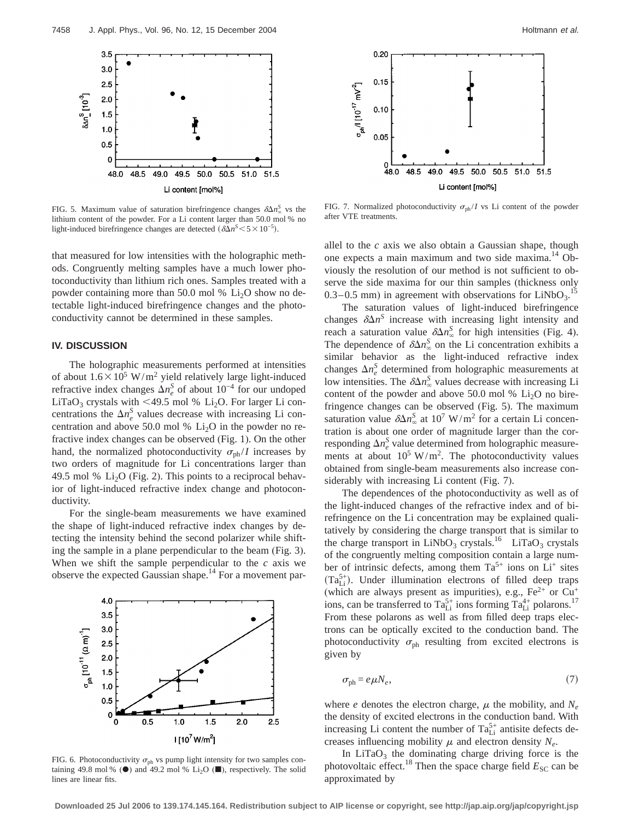

FIG. 5. Maximum value of saturation birefringence changes  $\delta \Delta n_{\infty}^{S}$  vs the FIG. 7. Normalized is lithium content of the powder. For a Li content larger than 50.0 mol % no light-induced birefringence changes are detected  $(\delta\Delta n^S \leq 5 \times 10^{-5})$ .

that measured for low intensities with the holographic methods. Congruently melting samples have a much lower photoconductivity than lithium rich ones. Samples treated with a powder containing more than 50.0 mol %  $Li<sub>2</sub>O$  show no detectable light-induced birefringence changes and the photoconductivity cannot be determined in these samples.

# **IV. DISCUSSION**

The holographic measurements performed at intensities of about  $1.6 \times 10^5$  W/m<sup>2</sup> yield relatively large light-induced refractive index changes  $\Delta n_e^S$  of about  $10^{-4}$  for our undoped LiTaO<sub>3</sub> crystals with <49.5 mol % Li<sub>2</sub>O. For larger Li concentrations the  $\Delta n_e^S$  values decrease with increasing Li concentration and above 50.0 mol %  $Li<sub>2</sub>O$  in the powder no refractive index changes can be observed (Fig. 1). On the other hand, the normalized photoconductivity  $\sigma_{ph} / I$  increases by two orders of magnitude for Li concentrations larger than 49.5 mol % Li<sub>2</sub>O (Fig. 2). This points to a reciprocal behavior of light-induced refractive index change and photoconductivity.

For the single-beam measurements we have examined the shape of light-induced refractive index changes by detecting the intensity behind the second polarizer while shifting the sample in a plane perpendicular to the beam (Fig. 3). When we shift the sample perpendicular to the *c* axis we observe the expected Gaussian shape.14 For a movement par-



FIG. 6. Photoconductivity  $\sigma_{ph}$  vs pump light intensity for two samples containing 49.8 mol % ( $\bullet$ ) and 49.2 mol % Li<sub>2</sub>O ( $\blacksquare$ ), respectively. The solid lines are linear fits.



FIG. 7. Normalized photoconductivity  $\sigma_{ph}/I$  vs Li content of the powder after VTE treatments.

allel to the *c* axis we also obtain a Gaussian shape, though one expects a main maximum and two side maxima.<sup>14</sup> Obviously the resolution of our method is not sufficient to observe the side maxima for our thin samples (thickness only  $0.3-0.5$  mm) in agreement with observations for LiNbO<sub>3</sub>.<sup>15</sup>

The saturation values of light-induced birefringence changes  $\delta \Delta n^S$  increase with increasing light intensity and reach a saturation value  $\delta \Delta n_{\infty}^{S}$  for high intensities (Fig. 4). The dependence of  $\delta \Delta n$ <sup>S</sup> on the Li concentration exhibits a similar behavior as the light-induced refractive index changes  $\Delta n_e^S$  determined from holographic measurements at low intensities. The  $\delta \Delta n_{\infty}^{S}$  values decrease with increasing Li content of the powder and above 50.0 mol %  $Li<sub>2</sub>O$  no birefringence changes can be observed (Fig. 5). The maximum saturation value  $\delta \Delta n_{\infty}^{S}$  at 10<sup>7</sup> W/m<sup>2</sup> for a certain Li concentration is about one order of magnitude larger than the corresponding  $\Delta n_e^S$  value determined from holographic measurements at about  $10^5 \text{ W/m}^2$ . The photoconductivity values obtained from single-beam measurements also increase considerably with increasing Li content (Fig. 7).

The dependences of the photoconductivity as well as of the light-induced changes of the refractive index and of birefringence on the Li concentration may be explained qualitatively by considering the charge transport that is similar to the charge transport in  $LiNbO<sub>3</sub>$  crystals.<sup>16</sup> LiTaO<sub>3</sub> crystals of the congruently melting composition contain a large number of intrinsic defects, among them  $Ta^{5+}$  ions on  $Li^+$  sites  $(Ta_{Li}^{5+})$ . Under illumination electrons of filled deep traps (which are always present as impurities), e.g.,  $Fe^{2+}$  or  $Cu^{+}$ ions, can be transferred to  $Ta_{Li}^{5+}$  ions forming  $Ta_{Li}^{4+}$  polarons.<sup>17</sup> From these polarons as well as from filled deep traps electrons can be optically excited to the conduction band. The photoconductivity  $\sigma_{ph}$  resulting from excited electrons is given by

$$
\sigma_{\rm ph} = e\,\mu N_e,\tag{7}
$$

where *e* denotes the electron charge,  $\mu$  the mobility, and  $N_e$ the density of excited electrons in the conduction band. With increasing Li content the number of  $Ta_{Li}^{5+}$  antisite defects decreases influencing mobility  $\mu$  and electron density  $N_e$ .

In  $LiTaO<sub>3</sub>$  the dominating charge driving force is the photovoltaic effect.<sup>18</sup> Then the space charge field  $E_{SC}$  can be approximated by

**Downloaded 25 Jul 2006 to 139.174.145.164. Redistribution subject to AIP license or copyright, see http://jap.aip.org/jap/copyright.jsp**